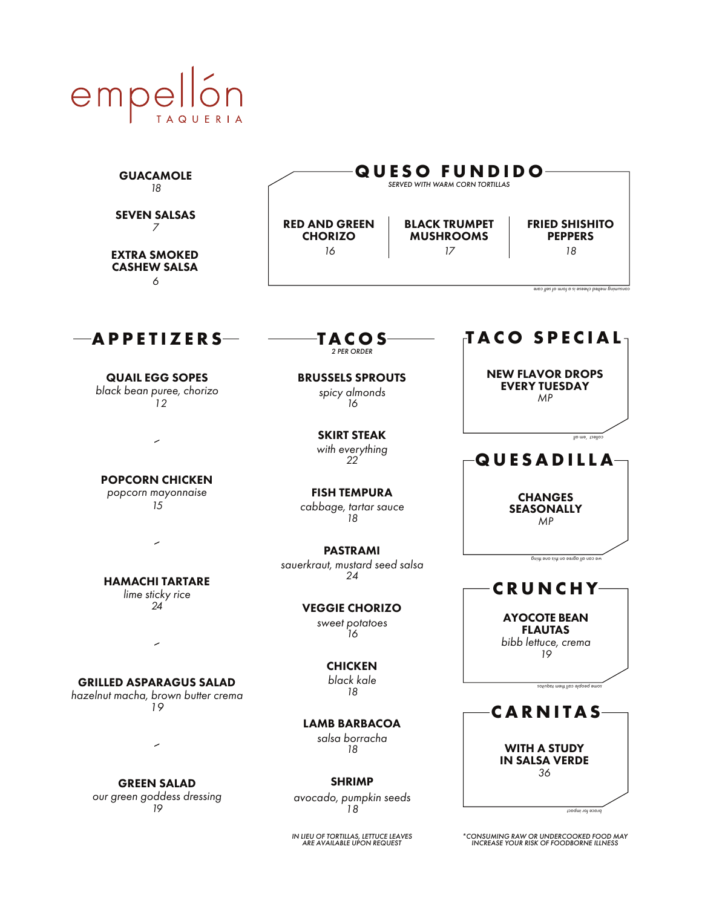

| <b>GUACAMOLE</b><br>18                                                      | <b>QUESO FUNDIDO</b><br>SERVED WITH WARM CORN TORTILLAS |                                                |                                                                                                |  |
|-----------------------------------------------------------------------------|---------------------------------------------------------|------------------------------------------------|------------------------------------------------------------------------------------------------|--|
| <b>SEVEN SALSAS</b><br>7<br><b>EXTRA SMOKED</b><br><b>CASHEW SALSA</b><br>6 | <b>RED AND GREEN</b><br><b>CHORIZO</b><br>16            | <b>BLACK TRUMPET</b><br><b>MUSHROOMS</b><br>17 | <b>FRIED SHISHITO</b><br><b>PEPPERS</b><br>18<br>consuming melted cheese is a tom of self care |  |
| APPETIZERS                                                                  | <b>TACOS</b><br>2 PER ORDER                             |                                                | TACO SPECIAL                                                                                   |  |
| <b>QUAIL EGG SOPES</b><br>black bean puree, chorizo<br>12                   | <b>BRUSSELS SPROUTS</b><br>spicy almonds<br>16          |                                                | <b>NEW FLAVOR DROPS</b><br><b>EVERY TUESDAY</b><br>MP                                          |  |
|                                                                             | <b>SKIRT STEAK</b><br>with everything<br>22             |                                                | collect 'em all<br>QUESADILLA                                                                  |  |
| <b>POPCORN CHICKEN</b><br>popcorn mayonnaise<br>15                          | <b>FISH TEMPURA</b><br>cabbage, tartar sauce<br>18      |                                                | <b>CHANGES</b><br><b>SEASONALLY</b><br>MP                                                      |  |
| ╭<br><b>HAMACHI TARTARE</b>                                                 | <b>PASTRAMI</b><br>sauerkraut, mustard seed salsa<br>24 |                                                | we can all agree ou jiy and think                                                              |  |
| lime sticky rice<br>24                                                      | <b>VEGGIE CHORIZO</b><br>sweet potatoes<br>16           |                                                | <b>CRUNCHY-</b><br><b>AYOCOTE BEAN</b><br><b>FLAUTAS</b><br>bibb lettuce, crema                |  |
| <b>GRILLED ASPARAGUS SALAD</b><br>hazelnut macha, brown butter crema<br>19  | <b>CHICKEN</b><br>black kale<br>18                      |                                                | 19<br>sotiuppt ment llop elqoeq emos                                                           |  |
|                                                                             | <b>LAMB BARBACOA</b><br>salsa borracha<br>18            |                                                | <b>CARNITAS</b><br><b>WITH A STUDY</b><br><b>IN SALSA VERDE</b>                                |  |
| <b>GREEN SALAD</b><br>our green goddess dressing<br>19                      | <b>SHRIMP</b><br>avocado, pumpkin seeds<br>18           |                                                | 36<br>brace for impact                                                                         |  |

*IN LIEU OF TORTILLAS, LETTUCE LEAVES ARE AVAILABLE UPON REQUEST*

*\*CONSUMING RAW OR UNDERCOOKED FOOD MAY INCREASE YOUR RISK OF FOODBORNE ILLNESS*